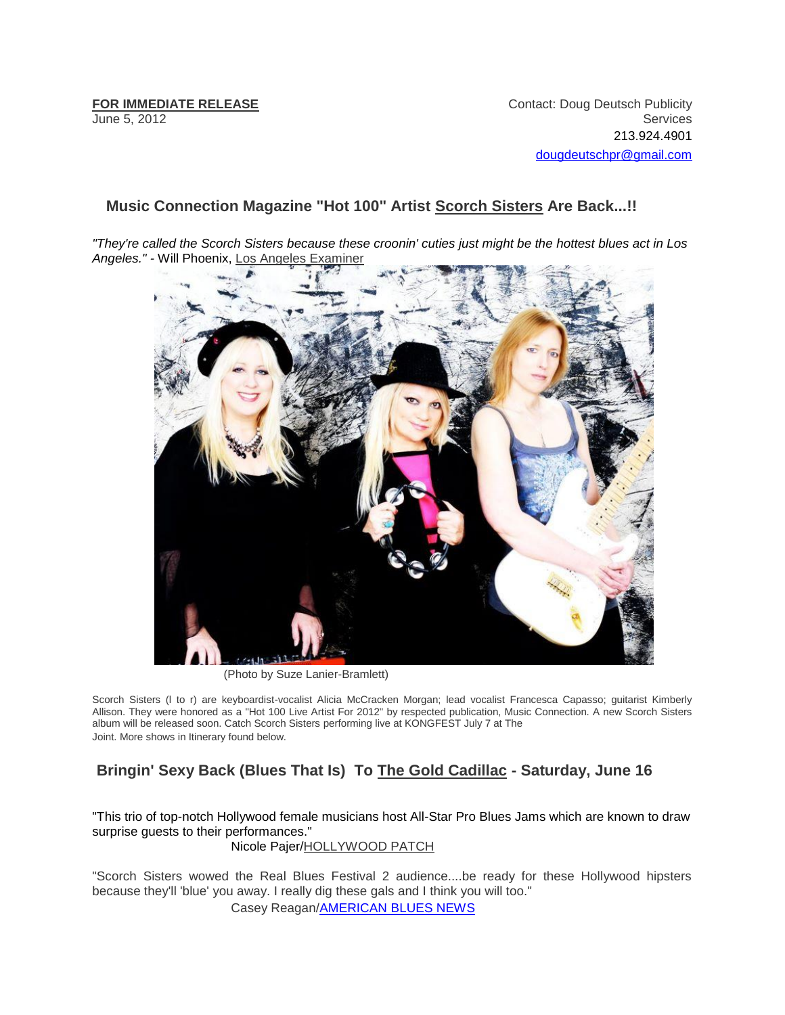## **Music Connection Magazine "Hot 100" Artist [Scorch Sisters](http://r20.rs6.net/tn.jsp?e=001rkkkgKZtBKaZ2f-8SAhrniMohUa_uA_nQ9IMKILVt7AtGXZqDKByJqd0Cyw8hHaowgsci76z34AWTLph6vstl9f7MnDyz7Ro7Y_zs5e2zzYIPkrZ25StAw==) Are Back...!!**

*"They're called the Scorch Sisters because these croonin' cuties just might be the hottest blues act in Los Angeles." -* Will Phoenix, [Los Angeles Examiner](http://r20.rs6.net/tn.jsp?e=001rkkkgKZtBKaZ2f-8SAhrniMohUa_uA_nQ9IMKILVt7AtGXZqDKByJqd0Cyw8hHaowgsci76z34AWTLph6vstl53X-sqihHZT6y2KPFcAELCLpWqtqJsEg5KQp04Jb_hGXlFernEwvC1m5FjIim11-Tldi3xTjuDt6lrQQahoTbA=)



(Photo by Suze Lanier-Bramlett)

Scorch Sisters (l to r) are keyboardist-vocalist Alicia McCracken Morgan; lead vocalist Francesca Capasso; guitarist Kimberly Allison. They were honored as a "Hot 100 Live Artist For 2012" by respected publication, Music Connection. A new Scorch Sisters album will be released soon. Catch Scorch Sisters performing live at KONGFEST July 7 at The Joint. More shows in Itinerary found below.

## **Bringin' Sexy Back (Blues That Is) To [The Gold Cadillac](http://r20.rs6.net/tn.jsp?e=001rkkkgKZtBKaZ2f-8SAhrniMohUa_uA_nQ9IMKILVt7AtGXZqDKByJqd0Cyw8hHao3zD9B5s0dkDYoVT0Cej0l8F_aAcrGoAaczGcgwHN1BNY9-TInsQ97S8kQReYuhugFRd59carHVu3KJ03lXgR3boxKg_JT-vgLpSeP5t-izs=) - Saturday, June 16**

"This trio of top-notch Hollywood female musicians host All-Star Pro Blues Jams which are known to draw surprise guests to their performances."

Nicole Pajer[/HOLLYWOOD PATCH](http://r20.rs6.net/tn.jsp?e=001rkkkgKZtBKaZ2f-8SAhrniMohUa_uA_nQ9IMKILVt7AtGXZqDKByJqd0Cyw8hHaowgsci76z34BfExSpFXmzupGxjLDpFIe3ePXCpZ9-GXnaLNz8Nlj5qqLYdBrA4BspACmQmn93ap3Ar49L_UDxHoGUmq5haVPfS2NjwpW0ntThU6xa0IwA9evBsX2ykehelRyB23xzqVTN2q99KopFAw==)

"Scorch Sisters wowed the Real Blues Festival 2 audience....be ready for these Hollywood hipsters because they'll 'blue' you away. I really dig these gals and I think you will too."

Casey Reagan[/AMERICAN BLUES NEWS](http://r20.rs6.net/tn.jsp?e=001rkkkgKZtBKaZ2f-8SAhrniMohUa_uA_nQ9IMKILVt7AtGXZqDKByJqd0Cyw8hHaowgsci76z34AWTLph6vstl8H-Fqi87nifUMw8X5eyDZwN923acPp3vg==)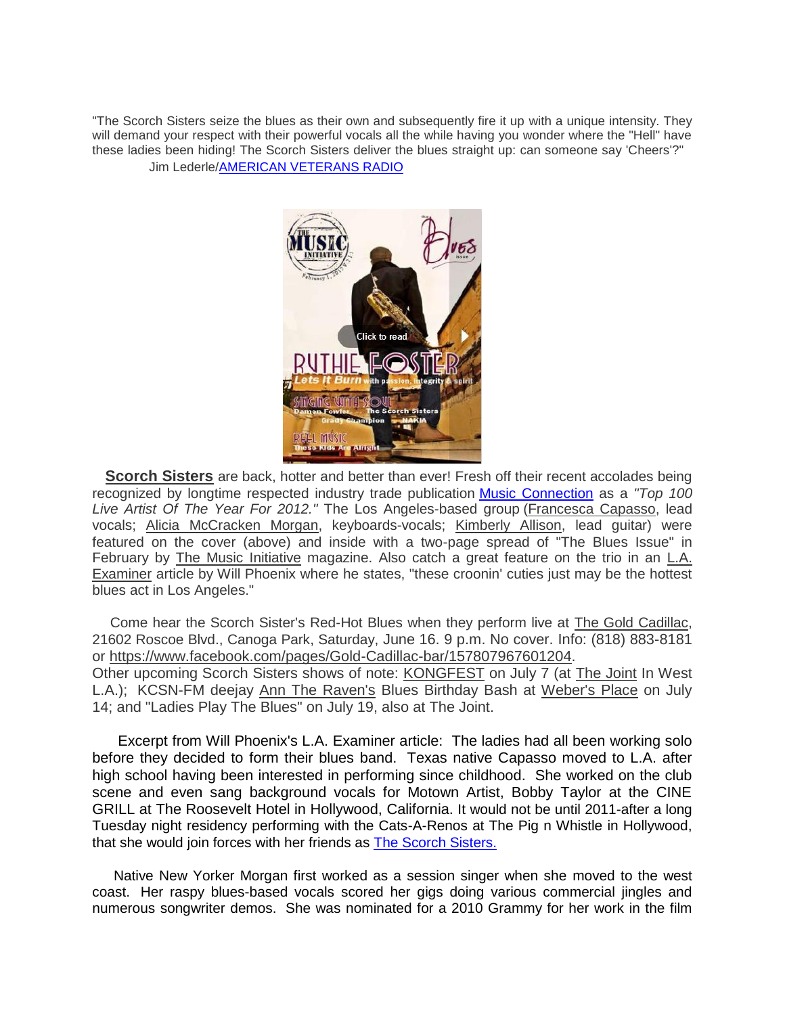"The Scorch Sisters seize the blues as their own and subsequently fire it up with a unique intensity. They will demand your respect with their powerful vocals all the while having you wonder where the "Hell" have these ladies been hiding! The Scorch Sisters deliver the blues straight up: can someone say 'Cheers'?" **Jim Lederle[/AMERICAN VETERANS RADIO](http://r20.rs6.net/tn.jsp?e=001rkkkgKZtBKaZ2f-8SAhrniMohUa_uA_nQ9IMKILVt7AtGXZqDKByJqd0Cyw8hHaowgsci76z34A0VLVwkCT5S6MAHQzpyk2z2vMtEzNk8g4=)** 



 **[Scorch Sisters](http://r20.rs6.net/tn.jsp?e=001rkkkgKZtBKaZ2f-8SAhrniMohUa_uA_nQ9IMKILVt7AtGXZqDKByJqd0Cyw8hHaowgsci76z34AWTLph6vstl9f7MnDyz7Ro7Y_zs5e2zzYIPkrZ25StAw==)** are back, hotter and better than ever! Fresh off their recent accolades being recognized by longtime respected industry trade publication [Music Connection](http://r20.rs6.net/tn.jsp?e=001rkkkgKZtBKaZ2f-8SAhrniMohUa_uA_nQ9IMKILVt7AtGXZqDKByJqd0Cyw8hHaowgsci76z34AWTLph6vstl_5pwDC6FFSeWyodx32pgasn4xZq6MdRc-VYuX8wfAGFNPvQFh_WLdg=) as a *"Top 100 Live Artist Of The Year For 2012."* The Los Angeles-based group [\(Francesca Capasso,](http://r20.rs6.net/tn.jsp?e=001rkkkgKZtBKaZ2f-8SAhrniMohUa_uA_nQ9IMKILVt7AtGXZqDKByJqd0Cyw8hHao3zD9B5s0dkDYoVT0Cej0l8F_aAcrGoAaczGcgwHN1BMwq_EadD301Nj9noVbyjD5udzoCXquros=) lead vocals; [Alicia McCracken Morgan,](http://r20.rs6.net/tn.jsp?e=001rkkkgKZtBKaZ2f-8SAhrniMohUa_uA_nQ9IMKILVt7AtGXZqDKByJqd0Cyw8hHao3zD9B5s0dkDYoVT0Cej0l8F_aAcrGoAaczGcgwHN1BNsT0oIsht_IrxSA6pKgo8KgVuQL1k4nEkpsIe2F6LAAw==) keyboards-vocals; [Kimberly Allison,](http://r20.rs6.net/tn.jsp?e=001rkkkgKZtBKaZ2f-8SAhrniMohUa_uA_nQ9IMKILVt7AtGXZqDKByJqd0Cyw8hHao3zD9B5s0dkDYoVT0Cej0l8F_aAcrGoAaczGcgwHN1BOOJAFFLGsVGSvuz15EtdQ9pmOEpRWXNP93GKjz-FD29e1hI2turYnF) lead guitar) were featured on the cover (above) and inside with a two-page spread of "The Blues Issue" in February by [The Music Initiative](http://r20.rs6.net/tn.jsp?e=001rkkkgKZtBKaZ2f-8SAhrniMohUa_uA_nQ9IMKILVt7AtGXZqDKByJqd0Cyw8hHaowgsci76z34AWTLph6vstlyM7BmK1UaodiNiTbHeOXydy43alQSkPV5boEFkjOhL8) magazine. Also catch a great feature on the trio in an [L.A.](http://r20.rs6.net/tn.jsp?e=001rkkkgKZtBKaZ2f-8SAhrniMohUa_uA_nQ9IMKILVt7AtGXZqDKByJqd0Cyw8hHaowgsci76z34AWTLph6vstl53X-sqihHZT6y2KPFcAELCLpWqtqJsEg5KQp04Jb_hGXlFernEwvC1m5FjIim11-Tldi3xTjuDt6lrQQahoTbA=)  [Examiner](http://r20.rs6.net/tn.jsp?e=001rkkkgKZtBKaZ2f-8SAhrniMohUa_uA_nQ9IMKILVt7AtGXZqDKByJqd0Cyw8hHaowgsci76z34AWTLph6vstl53X-sqihHZT6y2KPFcAELCLpWqtqJsEg5KQp04Jb_hGXlFernEwvC1m5FjIim11-Tldi3xTjuDt6lrQQahoTbA=) article by Will Phoenix where he states, "these croonin' cuties just may be the hottest blues act in Los Angeles."

Come hear the Scorch Sister's Red-Hot Blues when they perform live at [The Gold Cadillac,](http://r20.rs6.net/tn.jsp?e=001rkkkgKZtBKaZ2f-8SAhrniMohUa_uA_nQ9IMKILVt7AtGXZqDKByJqd0Cyw8hHao3zD9B5s0dkDYoVT0Cej0l8F_aAcrGoAaczGcgwHN1BNY9-TInsQ97S8kQReYuhugFRd59carHVu3KJ03lXgR3boxKg_JT-vgLpSeP5t-izs=) 21602 Roscoe Blvd., Canoga Park, Saturday, June 16. 9 p.m. No cover. Info: (818) 883-8181 or [https://www.facebook.com/pages/Gold-Cadillac-bar/157807967601204.](http://r20.rs6.net/tn.jsp?e=001rkkkgKZtBKaZ2f-8SAhrniMohUa_uA_nQ9IMKILVt7AtGXZqDKByJqd0Cyw8hHao3zD9B5s0dkDYoVT0Cej0l8F_aAcrGoAaczGcgwHN1BNY9-TInsQ97S8kQReYuhugFRd59carHVu3KJ03lXgR3boxKg_JT-vgLpSeP5t-izs=) Other upcoming Scorch Sisters shows of note: [KONGFEST](http://r20.rs6.net/tn.jsp?e=001rkkkgKZtBKaZ2f-8SAhrniMohUa_uA_nQ9IMKILVt7AtGXZqDKByJqd0Cyw8hHao3zD9B5s0dkDYoVT0Cej0l8F_aAcrGoAaczGcgwHN1BM85JB13T-UXSvsH9DySFE1pqw70YZ8Xis=) on July 7 (at [The Joint](http://r20.rs6.net/tn.jsp?e=001rkkkgKZtBKaZ2f-8SAhrniMohUa_uA_nQ9IMKILVt7AtGXZqDKByJqd0Cyw8hHao3zD9B5s0dkDYoVT0Cej0l8F_aAcrGoAaczGcgwHN1BM-gSkGQaaIH6_fuagyyJDy) In West L.A.); KCSN-FM deejay [Ann The Raven's](http://r20.rs6.net/tn.jsp?e=001rkkkgKZtBKaZ2f-8SAhrniMohUa_uA_nQ9IMKILVt7AtGXZqDKByJqd0Cyw8hHao3zD9B5s0dkDYoVT0Cej0l8F_aAcrGoAaczGcgwHN1BNY9-TInsQ97VgQLJOE7U4ZECe7rRRma40n47KAJiQ4sXvr04T-EATv5iWumCqm3um6LTQ2MojoSA==) Blues Birthday Bash at [Weber's Place](http://r20.rs6.net/tn.jsp?e=001rkkkgKZtBKaZ2f-8SAhrniMohUa_uA_nQ9IMKILVt7AtGXZqDKByJqd0Cyw8hHao3zD9B5s0dkDYoVT0Cej0l8F_aAcrGoAaczGcgwHN1BNS7GqVVKVhWieMGtwh4FUd) on July 14; and "Ladies Play The Blues" on July 19, also at The Joint.

Excerpt from Will Phoenix's L.A. Examiner article: The ladies had all been working solo before they decided to form their blues band. Texas native Capasso moved to L.A. after high school having been interested in performing since childhood. She worked on the club scene and even sang background vocals for Motown Artist, Bobby Taylor at the CINE GRILL at The Roosevelt Hotel in Hollywood, California. It would not be until 2011-after a long Tuesday night residency performing with the Cats-A-Renos at The Pig n Whistle in Hollywood, that she would join forces with her friends as [The Scorch Sisters.](http://r20.rs6.net/tn.jsp?e=001rkkkgKZtBKaZ2f-8SAhrniMohUa_uA_nQ9IMKILVt7AtGXZqDKByJqd0Cyw8hHaowgsci76z34Bf1yzOl-yQwe_Te8BoRoeswE6vr-VPwELPhfsROadlNQ==)

 Native New Yorker Morgan first worked as a session singer when she moved to the west coast. Her raspy blues-based vocals scored her gigs doing various commercial jingles and numerous songwriter demos. She was nominated for a 2010 Grammy for her work in the film